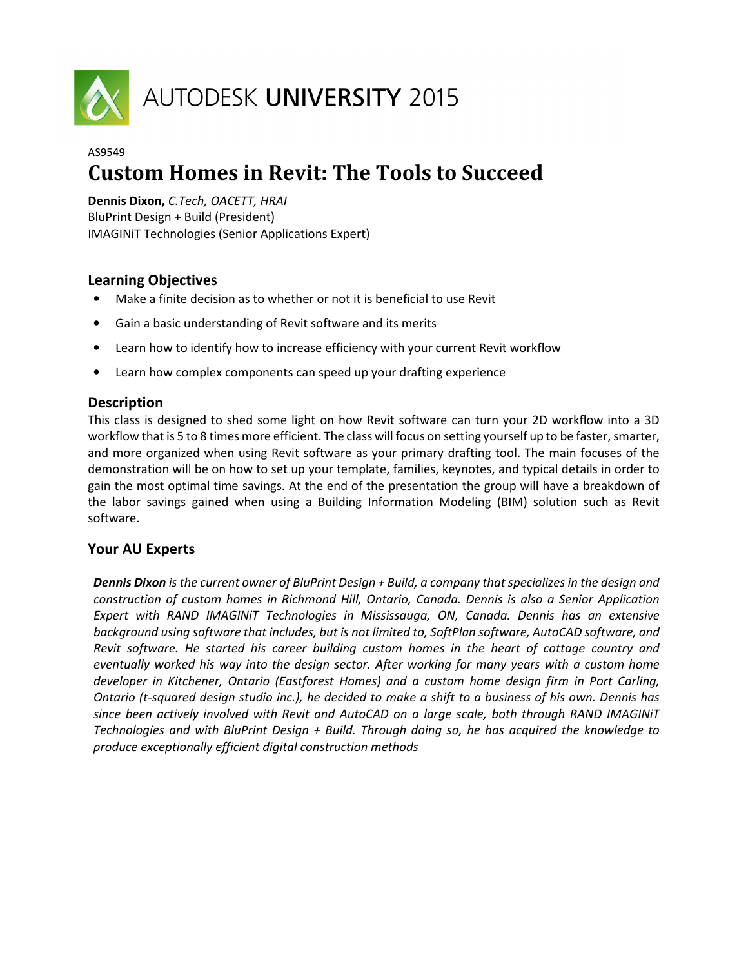

# AUTODESK UNIVERSITY 2015

## AS9549 **Custom Homes in Revit: The Tools to Succeed**

**Dennis Dixon,** *C.Tech, OACETT, HRAI*  BluPrint Design + Build (President) IMAGINiT Technologies (Senior Applications Expert)

## **Learning Objectives**

- Make a finite decision as to whether or not it is beneficial to use Revit
- Gain a basic understanding of Revit software and its merits
- Learn how to identify how to increase efficiency with your current Revit workflow
- Learn how complex components can speed up your drafting experience

#### **Description**

This class is designed to shed some light on how Revit software can turn your 2D workflow into a 3D workflow that is 5 to 8 times more efficient. The class will focus on setting yourself up to be faster, smarter, and more organized when using Revit software as your primary drafting tool. The main focuses of the demonstration will be on how to set up your template, families, keynotes, and typical details in order to gain the most optimal time savings. At the end of the presentation the group will have a breakdown of the labor savings gained when using a Building Information Modeling (BIM) solution such as Revit software.

#### **Your AU Experts**

*Dennis Dixon is the current owner of BluPrint Design + Build, a company that specializes in the design and construction of custom homes in Richmond Hill, Ontario, Canada. Dennis is also a Senior Application Expert with RAND IMAGINiT Technologies in Mississauga, ON, Canada. Dennis has an extensive background using software that includes, but is not limited to, SoftPlan software, AutoCAD software, and Revit software. He started his career building custom homes in the heart of cottage country and eventually worked his way into the design sector. After working for many years with a custom home developer in Kitchener, Ontario (Eastforest Homes) and a custom home design firm in Port Carling, Ontario (t-squared design studio inc.), he decided to make a shift to a business of his own. Dennis has since been actively involved with Revit and AutoCAD on a large scale, both through RAND IMAGINiT Technologies and with BluPrint Design + Build. Through doing so, he has acquired the knowledge to produce exceptionally efficient digital construction methods*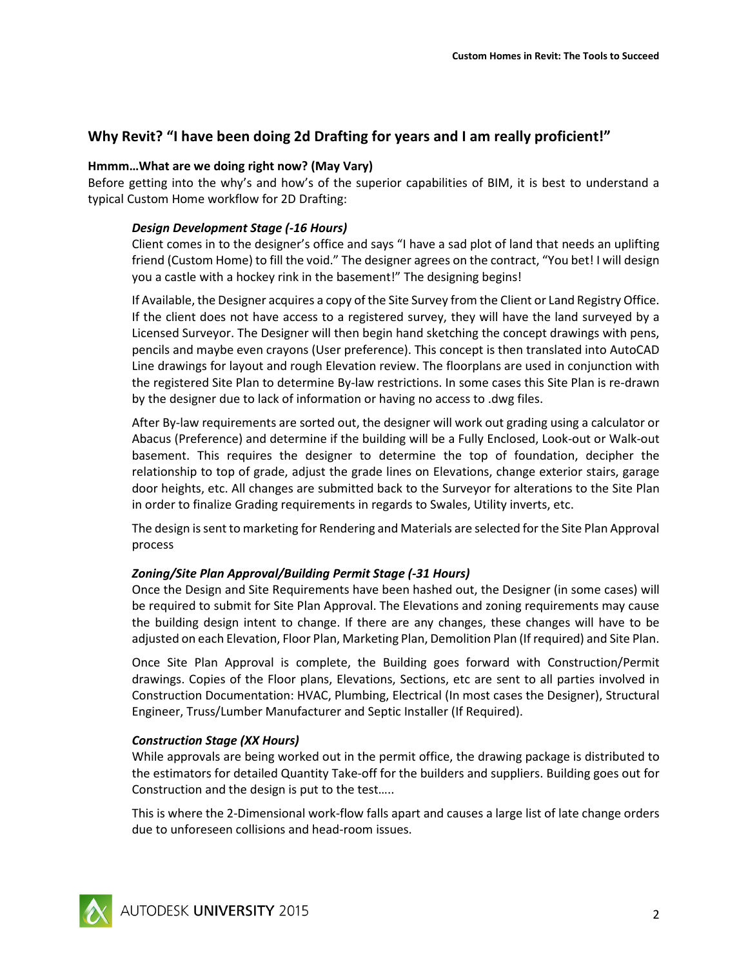## **Why Revit? "I have been doing 2d Drafting for years and I am really proficient!"**

#### **Hmmm…What are we doing right now? (May Vary)**

Before getting into the why's and how's of the superior capabilities of BIM, it is best to understand a typical Custom Home workflow for 2D Drafting:

#### *Design Development Stage (-16 Hours)*

Client comes in to the designer's office and says "I have a sad plot of land that needs an uplifting friend (Custom Home) to fill the void." The designer agrees on the contract, "You bet! I will design you a castle with a hockey rink in the basement!" The designing begins!

If Available, the Designer acquires a copy of the Site Survey from the Client or Land Registry Office. If the client does not have access to a registered survey, they will have the land surveyed by a Licensed Surveyor. The Designer will then begin hand sketching the concept drawings with pens, pencils and maybe even crayons (User preference). This concept is then translated into AutoCAD Line drawings for layout and rough Elevation review. The floorplans are used in conjunction with the registered Site Plan to determine By-law restrictions. In some cases this Site Plan is re-drawn by the designer due to lack of information or having no access to .dwg files.

After By-law requirements are sorted out, the designer will work out grading using a calculator or Abacus (Preference) and determine if the building will be a Fully Enclosed, Look-out or Walk-out basement. This requires the designer to determine the top of foundation, decipher the relationship to top of grade, adjust the grade lines on Elevations, change exterior stairs, garage door heights, etc. All changes are submitted back to the Surveyor for alterations to the Site Plan in order to finalize Grading requirements in regards to Swales, Utility inverts, etc.

The design is sent to marketing for Rendering and Materials are selected for the Site Plan Approval process

#### *Zoning/Site Plan Approval/Building Permit Stage (-31 Hours)*

Once the Design and Site Requirements have been hashed out, the Designer (in some cases) will be required to submit for Site Plan Approval. The Elevations and zoning requirements may cause the building design intent to change. If there are any changes, these changes will have to be adjusted on each Elevation, Floor Plan, Marketing Plan, Demolition Plan (If required) and Site Plan.

Once Site Plan Approval is complete, the Building goes forward with Construction/Permit drawings. Copies of the Floor plans, Elevations, Sections, etc are sent to all parties involved in Construction Documentation: HVAC, Plumbing, Electrical (In most cases the Designer), Structural Engineer, Truss/Lumber Manufacturer and Septic Installer (If Required).

#### *Construction Stage (XX Hours)*

While approvals are being worked out in the permit office, the drawing package is distributed to the estimators for detailed Quantity Take-off for the builders and suppliers. Building goes out for Construction and the design is put to the test…..

This is where the 2-Dimensional work-flow falls apart and causes a large list of late change orders due to unforeseen collisions and head-room issues.

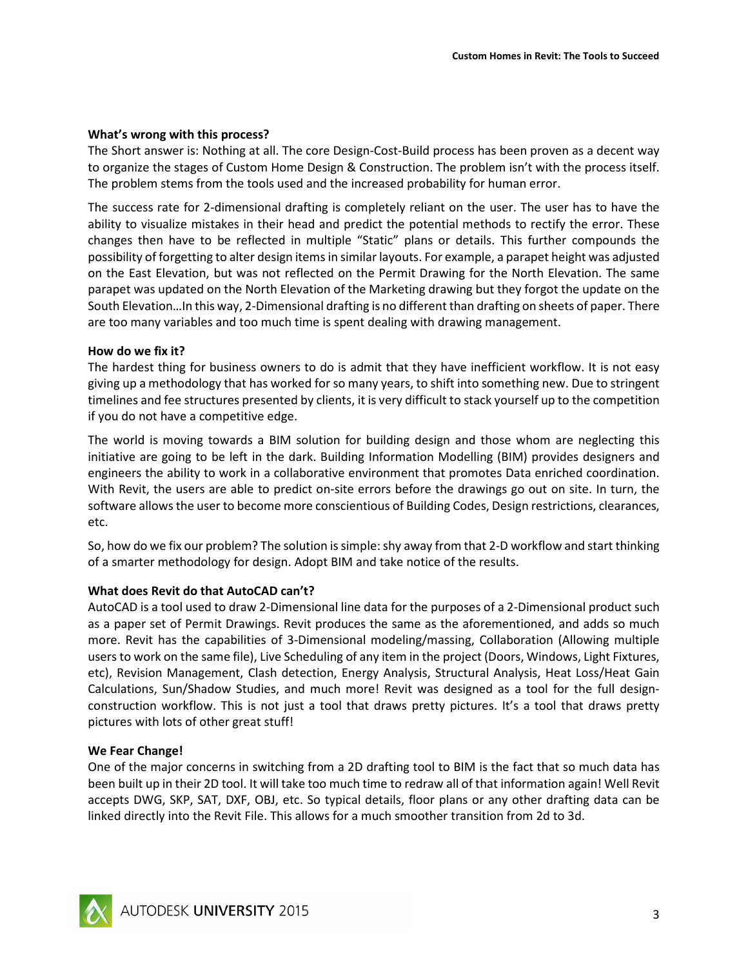#### **What's wrong with this process?**

The Short answer is: Nothing at all. The core Design-Cost-Build process has been proven as a decent way to organize the stages of Custom Home Design & Construction. The problem isn't with the process itself. The problem stems from the tools used and the increased probability for human error.

The success rate for 2-dimensional drafting is completely reliant on the user. The user has to have the ability to visualize mistakes in their head and predict the potential methods to rectify the error. These changes then have to be reflected in multiple "Static" plans or details. This further compounds the possibility of forgetting to alter design items in similar layouts. For example, a parapet height was adjusted on the East Elevation, but was not reflected on the Permit Drawing for the North Elevation. The same parapet was updated on the North Elevation of the Marketing drawing but they forgot the update on the South Elevation…In this way, 2-Dimensional drafting is no different than drafting on sheets of paper. There are too many variables and too much time is spent dealing with drawing management.

#### **How do we fix it?**

The hardest thing for business owners to do is admit that they have inefficient workflow. It is not easy giving up a methodology that has worked for so many years, to shift into something new. Due to stringent timelines and fee structures presented by clients, it is very difficult to stack yourself up to the competition if you do not have a competitive edge.

The world is moving towards a BIM solution for building design and those whom are neglecting this initiative are going to be left in the dark. Building Information Modelling (BIM) provides designers and engineers the ability to work in a collaborative environment that promotes Data enriched coordination. With Revit, the users are able to predict on-site errors before the drawings go out on site. In turn, the software allows the user to become more conscientious of Building Codes, Design restrictions, clearances, etc.

So, how do we fix our problem? The solution is simple: shy away from that 2-D workflow and start thinking of a smarter methodology for design. Adopt BIM and take notice of the results.

#### **What does Revit do that AutoCAD can't?**

AutoCAD is a tool used to draw 2-Dimensional line data for the purposes of a 2-Dimensional product such as a paper set of Permit Drawings. Revit produces the same as the aforementioned, and adds so much more. Revit has the capabilities of 3-Dimensional modeling/massing, Collaboration (Allowing multiple users to work on the same file), Live Scheduling of any item in the project (Doors, Windows, Light Fixtures, etc), Revision Management, Clash detection, Energy Analysis, Structural Analysis, Heat Loss/Heat Gain Calculations, Sun/Shadow Studies, and much more! Revit was designed as a tool for the full designconstruction workflow. This is not just a tool that draws pretty pictures. It's a tool that draws pretty pictures with lots of other great stuff!

#### **We Fear Change!**

One of the major concerns in switching from a 2D drafting tool to BIM is the fact that so much data has been built up in their 2D tool. It will take too much time to redraw all of that information again! Well Revit accepts DWG, SKP, SAT, DXF, OBJ, etc. So typical details, floor plans or any other drafting data can be linked directly into the Revit File. This allows for a much smoother transition from 2d to 3d.

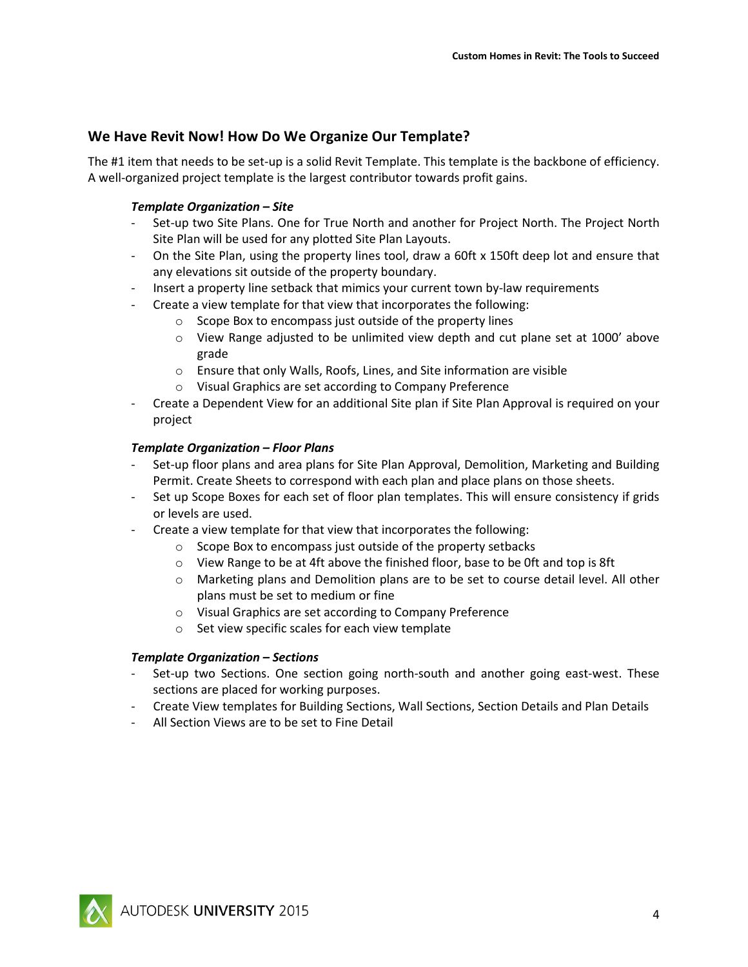## **We Have Revit Now! How Do We Organize Our Template?**

The #1 item that needs to be set-up is a solid Revit Template. This template is the backbone of efficiency. A well-organized project template is the largest contributor towards profit gains.

#### *Template Organization – Site*

- Set-up two Site Plans. One for True North and another for Project North. The Project North Site Plan will be used for any plotted Site Plan Layouts.
- On the Site Plan, using the property lines tool, draw a 60ft x 150ft deep lot and ensure that any elevations sit outside of the property boundary.
- Insert a property line setback that mimics your current town by-law requirements
- Create a view template for that view that incorporates the following:
	- o Scope Box to encompass just outside of the property lines
	- $\circ$  View Range adjusted to be unlimited view depth and cut plane set at 1000' above grade
	- o Ensure that only Walls, Roofs, Lines, and Site information are visible
	- o Visual Graphics are set according to Company Preference
- Create a Dependent View for an additional Site plan if Site Plan Approval is required on your project

#### *Template Organization – Floor Plans*

- Set-up floor plans and area plans for Site Plan Approval, Demolition, Marketing and Building Permit. Create Sheets to correspond with each plan and place plans on those sheets.
- Set up Scope Boxes for each set of floor plan templates. This will ensure consistency if grids or levels are used.
- Create a view template for that view that incorporates the following:
	- o Scope Box to encompass just outside of the property setbacks
	- o View Range to be at 4ft above the finished floor, base to be 0ft and top is 8ft
	- $\circ$  Marketing plans and Demolition plans are to be set to course detail level. All other plans must be set to medium or fine
	- o Visual Graphics are set according to Company Preference
	- o Set view specific scales for each view template

#### *Template Organization – Sections*

- Set-up two Sections. One section going north-south and another going east-west. These sections are placed for working purposes.
- Create View templates for Building Sections, Wall Sections, Section Details and Plan Details
- All Section Views are to be set to Fine Detail

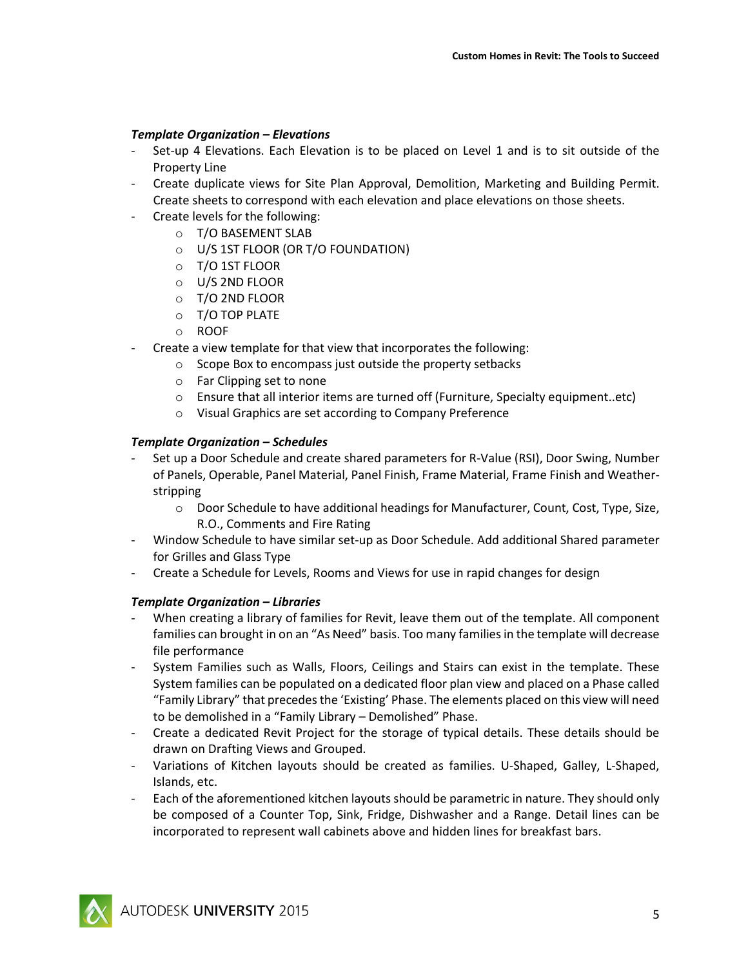#### *Template Organization – Elevations*

- Set-up 4 Elevations. Each Elevation is to be placed on Level 1 and is to sit outside of the Property Line
- Create duplicate views for Site Plan Approval, Demolition, Marketing and Building Permit. Create sheets to correspond with each elevation and place elevations on those sheets.
- Create levels for the following:
	- o T/O BASEMENT SLAB
	- o U/S 1ST FLOOR (OR T/O FOUNDATION)
	- o T/O 1ST FLOOR
	- o U/S 2ND FLOOR
	- o T/O 2ND FLOOR
	- o T/O TOP PLATE
	- o ROOF
- Create a view template for that view that incorporates the following:
	- o Scope Box to encompass just outside the property setbacks
	- o Far Clipping set to none
	- o Ensure that all interior items are turned off (Furniture, Specialty equipment..etc)
	- o Visual Graphics are set according to Company Preference

#### *Template Organization – Schedules*

- Set up a Door Schedule and create shared parameters for R-Value (RSI), Door Swing, Number of Panels, Operable, Panel Material, Panel Finish, Frame Material, Frame Finish and Weatherstripping
	- o Door Schedule to have additional headings for Manufacturer, Count, Cost, Type, Size, R.O., Comments and Fire Rating
- Window Schedule to have similar set-up as Door Schedule. Add additional Shared parameter for Grilles and Glass Type
- Create a Schedule for Levels, Rooms and Views for use in rapid changes for design

#### *Template Organization – Libraries*

- When creating a library of families for Revit, leave them out of the template. All component families can brought in on an "As Need" basis. Too many families in the template will decrease file performance
- System Families such as Walls, Floors, Ceilings and Stairs can exist in the template. These System families can be populated on a dedicated floor plan view and placed on a Phase called "Family Library" that precedes the 'Existing' Phase. The elements placed on this view will need to be demolished in a "Family Library – Demolished" Phase.
- Create a dedicated Revit Project for the storage of typical details. These details should be drawn on Drafting Views and Grouped.
- Variations of Kitchen layouts should be created as families. U-Shaped, Galley, L-Shaped, Islands, etc.
- Each of the aforementioned kitchen layouts should be parametric in nature. They should only be composed of a Counter Top, Sink, Fridge, Dishwasher and a Range. Detail lines can be incorporated to represent wall cabinets above and hidden lines for breakfast bars.

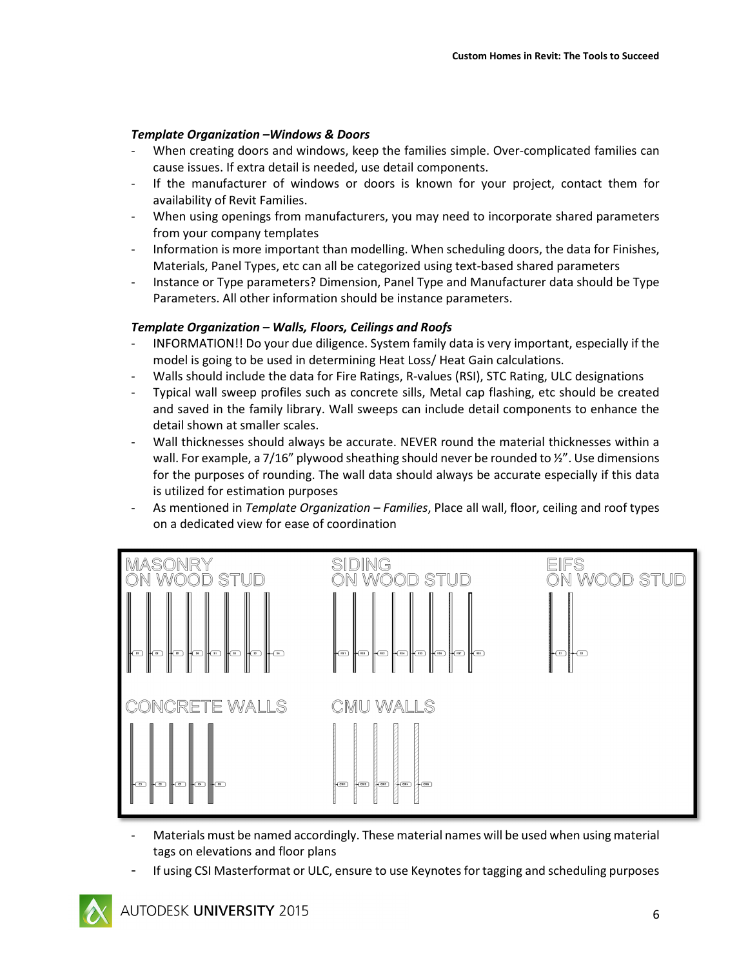## *Template Organization –Windows & Doors*

- When creating doors and windows, keep the families simple. Over-complicated families can cause issues. If extra detail is needed, use detail components.
- If the manufacturer of windows or doors is known for your project, contact them for availability of Revit Families.
- When using openings from manufacturers, you may need to incorporate shared parameters from your company templates
- Information is more important than modelling. When scheduling doors, the data for Finishes, Materials, Panel Types, etc can all be categorized using text-based shared parameters
- Instance or Type parameters? Dimension, Panel Type and Manufacturer data should be Type Parameters. All other information should be instance parameters.

#### *Template Organization – Walls, Floors, Ceilings and Roofs*

- INFORMATION!! Do your due diligence. System family data is very important, especially if the model is going to be used in determining Heat Loss/ Heat Gain calculations.
- Walls should include the data for Fire Ratings, R-values (RSI), STC Rating, ULC designations
- Typical wall sweep profiles such as concrete sills, Metal cap flashing, etc should be created and saved in the family library. Wall sweeps can include detail components to enhance the detail shown at smaller scales.
- Wall thicknesses should always be accurate. NEVER round the material thicknesses within a wall. For example, a 7/16" plywood sheathing should never be rounded to  $\frac{y}{x}$ ". Use dimensions for the purposes of rounding. The wall data should always be accurate especially if this data is utilized for estimation purposes
- As mentioned in *Template Organization Families*, Place all wall, floor, ceiling and roof types on a dedicated view for ease of coordination



- Materials must be named accordingly. These material names will be used when using material tags on elevations and floor plans
- If using CSI Masterformat or ULC, ensure to use Keynotes for tagging and scheduling purposes

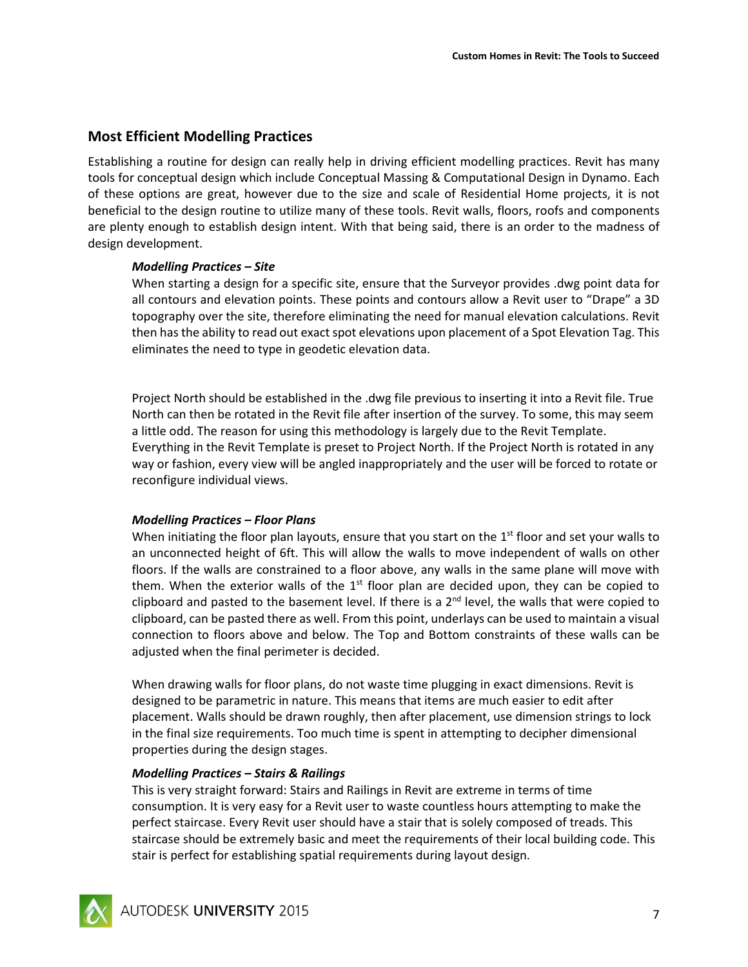## **Most Efficient Modelling Practices**

Establishing a routine for design can really help in driving efficient modelling practices. Revit has many tools for conceptual design which include Conceptual Massing & Computational Design in Dynamo. Each of these options are great, however due to the size and scale of Residential Home projects, it is not beneficial to the design routine to utilize many of these tools. Revit walls, floors, roofs and components are plenty enough to establish design intent. With that being said, there is an order to the madness of design development.

#### *Modelling Practices – Site*

When starting a design for a specific site, ensure that the Surveyor provides .dwg point data for all contours and elevation points. These points and contours allow a Revit user to "Drape" a 3D topography over the site, therefore eliminating the need for manual elevation calculations. Revit then has the ability to read out exact spot elevations upon placement of a Spot Elevation Tag. This eliminates the need to type in geodetic elevation data.

Project North should be established in the .dwg file previous to inserting it into a Revit file. True North can then be rotated in the Revit file after insertion of the survey. To some, this may seem a little odd. The reason for using this methodology is largely due to the Revit Template. Everything in the Revit Template is preset to Project North. If the Project North is rotated in any way or fashion, every view will be angled inappropriately and the user will be forced to rotate or reconfigure individual views.

#### *Modelling Practices – Floor Plans*

When initiating the floor plan layouts, ensure that you start on the  $1<sup>st</sup>$  floor and set your walls to an unconnected height of 6ft. This will allow the walls to move independent of walls on other floors. If the walls are constrained to a floor above, any walls in the same plane will move with them. When the exterior walls of the  $1<sup>st</sup>$  floor plan are decided upon, they can be copied to clipboard and pasted to the basement level. If there is a  $2^{nd}$  level, the walls that were copied to clipboard, can be pasted there as well. From this point, underlays can be used to maintain a visual connection to floors above and below. The Top and Bottom constraints of these walls can be adjusted when the final perimeter is decided.

When drawing walls for floor plans, do not waste time plugging in exact dimensions. Revit is designed to be parametric in nature. This means that items are much easier to edit after placement. Walls should be drawn roughly, then after placement, use dimension strings to lock in the final size requirements. Too much time is spent in attempting to decipher dimensional properties during the design stages.

#### *Modelling Practices – Stairs & Railings*

This is very straight forward: Stairs and Railings in Revit are extreme in terms of time consumption. It is very easy for a Revit user to waste countless hours attempting to make the perfect staircase. Every Revit user should have a stair that is solely composed of treads. This staircase should be extremely basic and meet the requirements of their local building code. This stair is perfect for establishing spatial requirements during layout design.

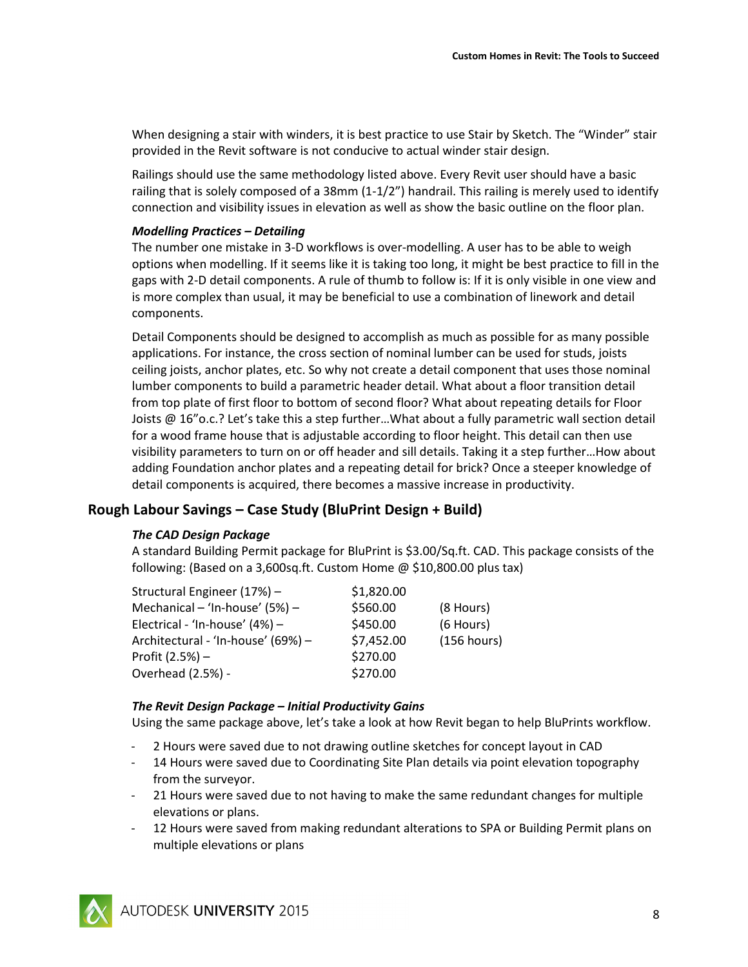When designing a stair with winders, it is best practice to use Stair by Sketch. The "Winder" stair provided in the Revit software is not conducive to actual winder stair design.

Railings should use the same methodology listed above. Every Revit user should have a basic railing that is solely composed of a 38mm (1-1/2") handrail. This railing is merely used to identify connection and visibility issues in elevation as well as show the basic outline on the floor plan.

#### *Modelling Practices – Detailing*

The number one mistake in 3-D workflows is over-modelling. A user has to be able to weigh options when modelling. If it seems like it is taking too long, it might be best practice to fill in the gaps with 2-D detail components. A rule of thumb to follow is: If it is only visible in one view and is more complex than usual, it may be beneficial to use a combination of linework and detail components.

Detail Components should be designed to accomplish as much as possible for as many possible applications. For instance, the cross section of nominal lumber can be used for studs, joists ceiling joists, anchor plates, etc. So why not create a detail component that uses those nominal lumber components to build a parametric header detail. What about a floor transition detail from top plate of first floor to bottom of second floor? What about repeating details for Floor Joists @ 16"o.c.? Let's take this a step further…What about a fully parametric wall section detail for a wood frame house that is adjustable according to floor height. This detail can then use visibility parameters to turn on or off header and sill details. Taking it a step further…How about adding Foundation anchor plates and a repeating detail for brick? Once a steeper knowledge of detail components is acquired, there becomes a massive increase in productivity.

#### **Rough Labour Savings – Case Study (BluPrint Design + Build)**

#### *The CAD Design Package*

A standard Building Permit package for BluPrint is \$3.00/Sq.ft. CAD. This package consists of the following: (Based on a 3,600sq.ft. Custom Home  $\omega$  \$10,800.00 plus tax)

| Structural Engineer (17%) -        | \$1,820.00 |             |
|------------------------------------|------------|-------------|
| Mechanical - 'In-house' (5%) -     | \$560.00   | (8 Hours)   |
| Electrical - 'In-house' (4%) -     | \$450.00   | (6 Hours)   |
| Architectural - 'In-house' (69%) - | \$7,452.00 | (156 hours) |
| Profit $(2.5%) -$                  | \$270.00   |             |
| Overhead (2.5%) -                  | \$270.00   |             |

#### *The Revit Design Package – Initial Productivity Gains*

Using the same package above, let's take a look at how Revit began to help BluPrints workflow.

- 2 Hours were saved due to not drawing outline sketches for concept layout in CAD
- 14 Hours were saved due to Coordinating Site Plan details via point elevation topography from the surveyor.
- 21 Hours were saved due to not having to make the same redundant changes for multiple elevations or plans.
- 12 Hours were saved from making redundant alterations to SPA or Building Permit plans on multiple elevations or plans

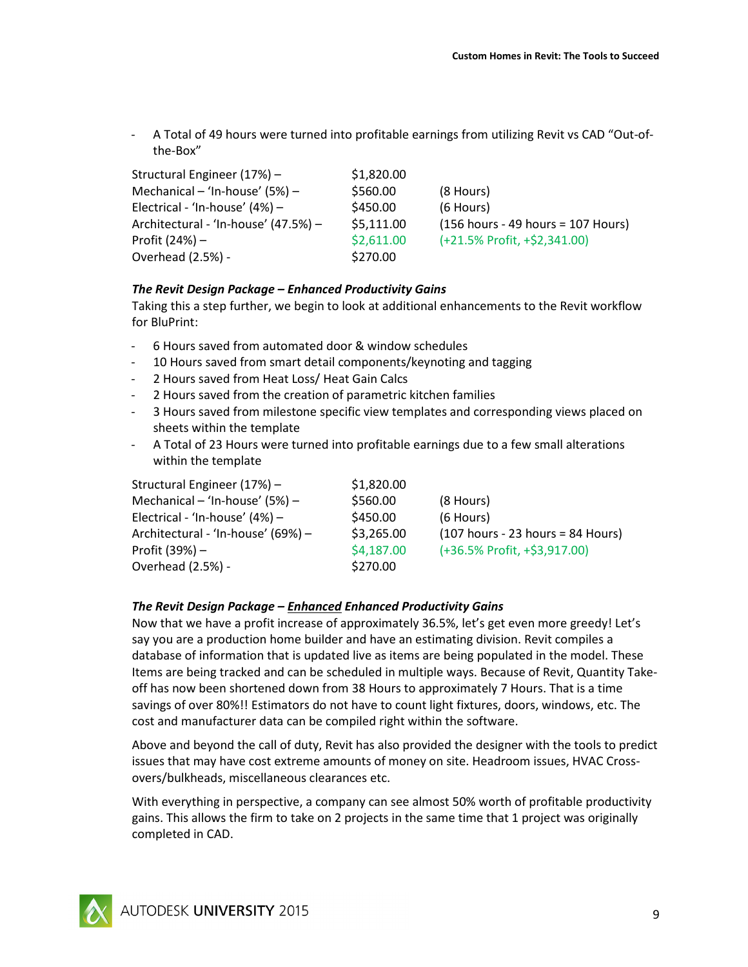A Total of 49 hours were turned into profitable earnings from utilizing Revit vs CAD "Out-ofthe-Box"

| Structural Engineer (17%) -          | \$1,820.00 |                                      |
|--------------------------------------|------------|--------------------------------------|
| Mechanical – 'In-house' $(5%)$ –     | \$560.00   | (8 Hours)                            |
| Electrical - 'In-house' $(4%)$ –     | \$450.00   | (6 Hours)                            |
| Architectural - 'In-house' (47.5%) - | \$5,111.00 | $(156$ hours - 49 hours = 107 Hours) |
| Profit (24%) –                       | \$2,611.00 | (+21.5% Profit, +\$2,341.00)         |
| Overhead (2.5%) -                    | \$270.00   |                                      |

#### *The Revit Design Package – Enhanced Productivity Gains*

Taking this a step further, we begin to look at additional enhancements to the Revit workflow for BluPrint:

- 6 Hours saved from automated door & window schedules
- 10 Hours saved from smart detail components/keynoting and tagging
- 2 Hours saved from Heat Loss/ Heat Gain Calcs
- 2 Hours saved from the creation of parametric kitchen families
- 3 Hours saved from milestone specific view templates and corresponding views placed on sheets within the template
- A Total of 23 Hours were turned into profitable earnings due to a few small alterations within the template

| Structural Engineer (17%) -        | \$1,820.00 |                                     |
|------------------------------------|------------|-------------------------------------|
| Mechanical - 'In-house' $(5%)$ -   | \$560.00   | (8 Hours)                           |
| Electrical - 'In-house' $(4%)$ –   | \$450.00   | (6 Hours)                           |
| Architectural - 'In-house' (69%) - | \$3,265.00 | $(107$ hours - 23 hours = 84 Hours) |
| Profit (39%) –                     | \$4,187.00 | (+36.5% Profit, +\$3,917.00)        |
| Overhead (2.5%) -                  | \$270.00   |                                     |

#### *The Revit Design Package – Enhanced Enhanced Productivity Gains*

Now that we have a profit increase of approximately 36.5%, let's get even more greedy! Let's say you are a production home builder and have an estimating division. Revit compiles a database of information that is updated live as items are being populated in the model. These Items are being tracked and can be scheduled in multiple ways. Because of Revit, Quantity Takeoff has now been shortened down from 38 Hours to approximately 7 Hours. That is a time savings of over 80%!! Estimators do not have to count light fixtures, doors, windows, etc. The cost and manufacturer data can be compiled right within the software.

Above and beyond the call of duty, Revit has also provided the designer with the tools to predict issues that may have cost extreme amounts of money on site. Headroom issues, HVAC Crossovers/bulkheads, miscellaneous clearances etc.

With everything in perspective, a company can see almost 50% worth of profitable productivity gains. This allows the firm to take on 2 projects in the same time that 1 project was originally completed in CAD.